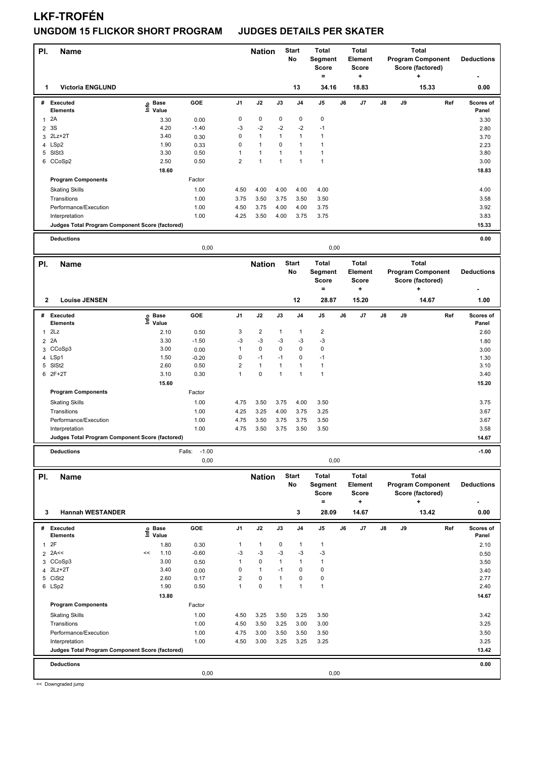## **UNGDOM 15 FLICKOR SHORT PROGRAM JUDGES DETAILS PER SKATER**

| PI.<br>Name                                     |                   |                   |                | <b>Nation</b>           |              | <b>Start</b><br>No | <b>Total</b><br>Segment<br>Score<br>$\qquad \qquad =$ |    | <b>Total</b><br>Element<br>Score<br>٠ |    |    | <b>Total</b><br><b>Program Component</b><br>Score (factored)<br>÷ | <b>Deductions</b>  |
|-------------------------------------------------|-------------------|-------------------|----------------|-------------------------|--------------|--------------------|-------------------------------------------------------|----|---------------------------------------|----|----|-------------------------------------------------------------------|--------------------|
| <b>Victoria ENGLUND</b><br>1                    |                   |                   |                |                         |              | 13                 | 34.16                                                 |    | 18.83                                 |    |    | 15.33                                                             | 0.00               |
| # Executed                                      | e Base<br>⊑ Value | GOE               | J1             | J2                      | J3           | J4                 | J5                                                    | J6 | J7                                    | J8 | J9 | Ref                                                               | Scores of          |
| <b>Elements</b><br>2A<br>$\mathbf{1}$           | 3.30              | 0.00              | $\pmb{0}$      | 0                       | $\mathbf 0$  | 0                  | 0                                                     |    |                                       |    |    |                                                                   | Panel<br>3.30      |
| 3S<br>$\overline{\mathbf{c}}$                   | 4.20              | $-1.40$           | -3             | $-2$                    | $-2$         | $-2$               | $-1$                                                  |    |                                       |    |    |                                                                   | 2.80               |
| 3 2Lz+2T                                        | 3.40              | 0.30              | $\mathbf 0$    | $\mathbf{1}$            | $\mathbf{1}$ | 1                  | 1                                                     |    |                                       |    |    |                                                                   | 3.70               |
| 4 LSp2                                          | 1.90              | 0.33              | $\mathbf 0$    | $\mathbf{1}$            | 0            | $\mathbf{1}$       | 1                                                     |    |                                       |    |    |                                                                   | 2.23               |
| 5 SISt3                                         | 3.30              | 0.50              | $\mathbf{1}$   | $\mathbf{1}$            | $\mathbf{1}$ | $\mathbf{1}$       | $\mathbf{1}$                                          |    |                                       |    |    |                                                                   | 3.80               |
| 6 CCoSp2                                        | 2.50              | 0.50              | $\overline{2}$ | $\mathbf{1}$            | $\mathbf{1}$ | $\mathbf{1}$       | $\mathbf{1}$                                          |    |                                       |    |    |                                                                   | 3.00               |
|                                                 | 18.60             |                   |                |                         |              |                    |                                                       |    |                                       |    |    |                                                                   | 18.83              |
| <b>Program Components</b>                       |                   | Factor            |                |                         |              |                    |                                                       |    |                                       |    |    |                                                                   |                    |
| <b>Skating Skills</b>                           |                   | 1.00              | 4.50<br>3.75   | 4.00                    | 4.00<br>3.75 | 4.00               | 4.00                                                  |    |                                       |    |    |                                                                   | 4.00               |
| Transitions<br>Performance/Execution            |                   | 1.00<br>1.00      | 4.50           | 3.50<br>3.75            | 4.00         | 3.50<br>4.00       | 3.50<br>3.75                                          |    |                                       |    |    |                                                                   | 3.58<br>3.92       |
| Interpretation                                  |                   | 1.00              | 4.25           | 3.50                    | 4.00         | 3.75               | 3.75                                                  |    |                                       |    |    |                                                                   | 3.83               |
| Judges Total Program Component Score (factored) |                   |                   |                |                         |              |                    |                                                       |    |                                       |    |    |                                                                   | 15.33              |
| <b>Deductions</b>                               |                   |                   |                |                         |              |                    |                                                       |    |                                       |    |    |                                                                   | 0.00               |
|                                                 |                   | 0,00              |                |                         |              |                    | 0,00                                                  |    |                                       |    |    |                                                                   |                    |
| PI.<br><b>Name</b>                              |                   |                   |                | <b>Nation</b>           |              | <b>Start</b>       | <b>Total</b>                                          |    | <b>Total</b>                          |    |    | <b>Total</b>                                                      |                    |
|                                                 |                   |                   |                |                         |              | No                 | Segment<br><b>Score</b>                               |    | Element<br><b>Score</b>               |    |    | <b>Program Component</b><br>Score (factored)                      | <b>Deductions</b>  |
|                                                 |                   |                   |                |                         |              |                    | $\qquad \qquad =$                                     |    | ٠                                     |    |    | ۰.                                                                |                    |
| $\mathbf{2}$<br><b>Louise JENSEN</b>            |                   |                   |                |                         |              | 12                 | 28.87                                                 |    | 15.20                                 |    |    | 14.67                                                             | 1.00               |
| #<br><b>Executed</b>                            | e Base<br>E Value | GOE               | J1             | J2                      | J3           | J4                 | J5                                                    | J6 | J7                                    | J8 | J9 | Ref                                                               | Scores of          |
| Elements                                        |                   |                   | 3              | $\overline{\mathbf{c}}$ |              |                    | 2                                                     |    |                                       |    |    |                                                                   | Panel              |
| 2Lz<br>1<br>2 2A                                | 2.10<br>3.30      | 0.50<br>$-1.50$   | -3             | $-3$                    | 1<br>$-3$    | 1<br>-3            | $-3$                                                  |    |                                       |    |    |                                                                   | 2.60               |
| CCoSp3<br>3                                     | 3.00              | 0.00              | $\mathbf{1}$   | $\mathbf 0$             | $\mathbf 0$  | $\mathbf 0$        | 0                                                     |    |                                       |    |    |                                                                   | 1.80<br>3.00       |
| 4 LSp1                                          | 1.50              | $-0.20$           | $\mathbf 0$    | $-1$                    | $-1$         | $\mathbf 0$        | $-1$                                                  |    |                                       |    |    |                                                                   | 1.30               |
| 5 SISt2                                         | 2.60              | 0.50              | $\overline{2}$ | $\mathbf{1}$            | $\mathbf{1}$ | $\mathbf{1}$       | 1                                                     |    |                                       |    |    |                                                                   | 3.10               |
| 6 2F+2T                                         | 3.10              | 0.30              | $\mathbf{1}$   | $\pmb{0}$               | $\mathbf{1}$ | $\mathbf{1}$       | $\mathbf{1}$                                          |    |                                       |    |    |                                                                   | 3.40               |
|                                                 | 15.60             |                   |                |                         |              |                    |                                                       |    |                                       |    |    |                                                                   | 15.20              |
| <b>Program Components</b>                       |                   | Factor            |                |                         |              |                    |                                                       |    |                                       |    |    |                                                                   |                    |
| <b>Skating Skills</b>                           |                   | 1.00              | 4.75           | 3.50                    | 3.75         | 4.00               | 3.50                                                  |    |                                       |    |    |                                                                   | 3.75               |
| Transitions<br>Performance/Execution            |                   | 1.00<br>1.00      | 4.25<br>4.75   | 3.25<br>3.50            | 4.00<br>3.75 | 3.75<br>3.75       | 3.25<br>3.50                                          |    |                                       |    |    |                                                                   | 3.67<br>3.67       |
| Interpretation                                  |                   | 1.00              | 4.75           | 3.50                    | 3.75         | 3.50               | 3.50                                                  |    |                                       |    |    |                                                                   | 3.58               |
| Judges Total Program Component Score (factored) |                   |                   |                |                         |              |                    |                                                       |    |                                       |    |    |                                                                   | 14.67              |
| <b>Deductions</b>                               |                   | $-1.00$<br>Falls: |                |                         |              |                    |                                                       |    |                                       |    |    |                                                                   | $-1.00$            |
|                                                 |                   | 0,00              |                |                         |              |                    | 0,00                                                  |    |                                       |    |    |                                                                   |                    |
| PI.<br><b>Name</b>                              |                   |                   |                | <b>Nation</b>           |              | <b>Start</b>       | <b>Total</b>                                          |    | Total                                 |    |    | Total                                                             |                    |
|                                                 |                   |                   |                |                         |              | No                 | Segment                                               |    | Element                               |    |    | <b>Program Component</b>                                          | <b>Deductions</b>  |
|                                                 |                   |                   |                |                         |              |                    | <b>Score</b>                                          |    | <b>Score</b>                          |    |    | Score (factored)                                                  |                    |
|                                                 |                   |                   |                |                         |              |                    | $=$                                                   |    | ٠                                     |    |    | ٠                                                                 |                    |
| <b>Hannah WESTANDER</b><br>3                    |                   |                   |                |                         |              | 3                  | 28.09                                                 |    | 14.67                                 |    |    | 13.42                                                             | 0.00               |
| # Executed<br><b>Elements</b>                   | e Base<br>⊑ Value | GOE               | J1             | J2                      | J3           | J4                 | J5                                                    | J6 | J7                                    | J8 | J9 | Ref                                                               | Scores of<br>Panel |
| 2F<br>$\mathbf{1}$                              | 1.80              | 0.30              | 1              | $\mathbf{1}$            | 0            | 1                  | 1                                                     |    |                                       |    |    |                                                                   | 2.10               |
| $2$ 2A<<                                        | 1.10<br><<        | $-0.60$           | $-3$           | $-3$                    | $-3$         | $-3$               | $-3$                                                  |    |                                       |    |    |                                                                   | 0.50               |
| 3 CCoSp3                                        | 3.00              | 0.50              | $\mathbf{1}$   | 0                       | $\mathbf{1}$ | $\mathbf{1}$       | 1                                                     |    |                                       |    |    |                                                                   | 3.50               |
| 4 2Lz+2T                                        | 3.40              | 0.00              | $\mathbf 0$    | $\mathbf{1}$            | $-1$         | 0                  | 0                                                     |    |                                       |    |    |                                                                   | 3.40               |
| 5 CiSt2                                         | 2.60              | 0.17              | $\overline{2}$ | $\pmb{0}$               | $\mathbf{1}$ | 0                  | 0                                                     |    |                                       |    |    |                                                                   | 2.77               |
| 6 LSp2                                          | 1.90<br>13.80     | 0.50              | $\mathbf{1}$   | $\pmb{0}$               | $\mathbf{1}$ | $\mathbf{1}$       | $\mathbf{1}$                                          |    |                                       |    |    |                                                                   | 2.40<br>14.67      |
| <b>Program Components</b>                       |                   | Factor            |                |                         |              |                    |                                                       |    |                                       |    |    |                                                                   |                    |
| <b>Skating Skills</b>                           |                   | 1.00              | 4.50           | 3.25                    | 3.50         | 3.25               | 3.50                                                  |    |                                       |    |    |                                                                   | 3.42               |
| Transitions                                     |                   | 1.00              | 4.50           | 3.50                    | 3.25         | 3.00               | 3.00                                                  |    |                                       |    |    |                                                                   | 3.25               |
| Performance/Execution                           |                   | 1.00              | 4.75           | 3.00                    | 3.50         | 3.50               | 3.50                                                  |    |                                       |    |    |                                                                   | 3.50               |
| Interpretation                                  |                   | 1.00              | 4.50           | 3.00                    | 3.25         | 3.25               | 3.25                                                  |    |                                       |    |    |                                                                   | 3.25               |
| Judges Total Program Component Score (factored) |                   |                   |                |                         |              |                    |                                                       |    |                                       |    |    |                                                                   | 13.42              |
| <b>Deductions</b>                               |                   |                   |                |                         |              |                    |                                                       |    |                                       |    |    |                                                                   | 0.00               |
|                                                 |                   | 0,00              |                |                         |              |                    | 0,00                                                  |    |                                       |    |    |                                                                   |                    |
|                                                 |                   |                   |                |                         |              |                    |                                                       |    |                                       |    |    |                                                                   |                    |

<< Downgraded jump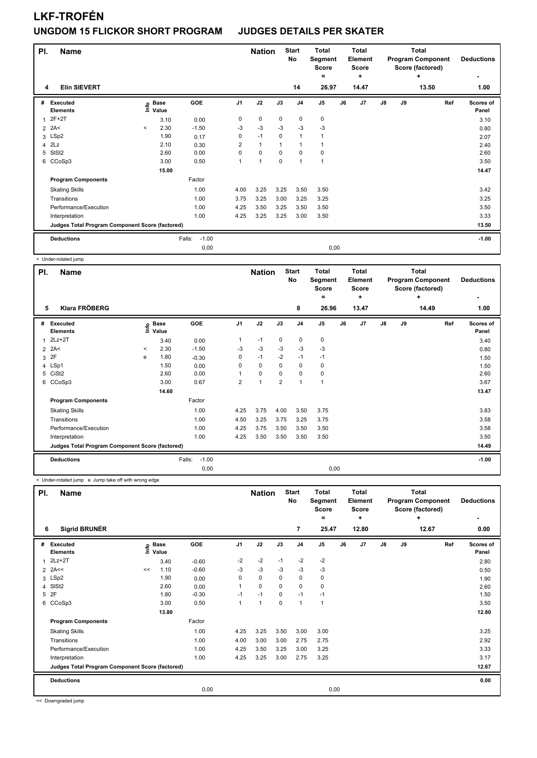### **UNGDOM 15 FLICKOR SHORT PROGRAM JUDGES DETAILS PER SKATER**

| PI.          | <b>Name</b>                                     |         |                      |                   |                | <b>Nation</b>  |             | <b>Start</b><br>No | <b>Total</b><br>Segment<br><b>Score</b><br>$\equiv$ |      | <b>Total</b><br>Element<br><b>Score</b><br>$\ddot{}$ |               |    | <b>Total</b><br><b>Program Component</b><br>Score (factored)<br>÷ | <b>Deductions</b><br>٠    |
|--------------|-------------------------------------------------|---------|----------------------|-------------------|----------------|----------------|-------------|--------------------|-----------------------------------------------------|------|------------------------------------------------------|---------------|----|-------------------------------------------------------------------|---------------------------|
| 4            | <b>Elin SIEVERT</b>                             |         |                      |                   |                |                |             | 14                 | 26.97                                               |      | 14.47                                                |               |    | 13.50                                                             | 1.00                      |
| #            | <b>Executed</b><br><b>Elements</b>              | e       | <b>Base</b><br>Value | GOE               | J <sub>1</sub> | J2             | J3          | J <sub>4</sub>     | J <sub>5</sub>                                      | J6   | J7                                                   | $\mathsf{J}8$ | J9 | Ref                                                               | <b>Scores of</b><br>Panel |
| $\mathbf{1}$ | 2F+2T                                           |         | 3.10                 | 0.00              | 0              | $\mathbf 0$    | $\mathbf 0$ | $\mathbf 0$        | 0                                                   |      |                                                      |               |    |                                                                   | 3.10                      |
|              | $2$ 2A<                                         | $\prec$ | 2.30                 | $-1.50$           | -3             | $-3$           | $-3$        | $-3$               | $-3$                                                |      |                                                      |               |    |                                                                   | 0.80                      |
| 3            | LSp2                                            |         | 1.90                 | 0.17              | 0              | $-1$           | 0           | $\mathbf{1}$       | $\mathbf{1}$                                        |      |                                                      |               |    |                                                                   | 2.07                      |
| 4            | 2Lz                                             |         | 2.10                 | 0.30              | $\overline{2}$ | $\mathbf{1}$   | -1          | 1                  | 1                                                   |      |                                                      |               |    |                                                                   | 2.40                      |
| 5            | SISt <sub>2</sub>                               |         | 2.60                 | 0.00              | 0              | $\mathbf 0$    | $\mathbf 0$ | $\mathbf 0$        | $\mathbf 0$                                         |      |                                                      |               |    |                                                                   | 2.60                      |
|              | 6 CCoSp3                                        |         | 3.00                 | 0.50              | 1              | $\overline{1}$ | 0           | $\overline{1}$     | 1                                                   |      |                                                      |               |    |                                                                   | 3.50                      |
|              |                                                 |         | 15.00                |                   |                |                |             |                    |                                                     |      |                                                      |               |    |                                                                   | 14.47                     |
|              | <b>Program Components</b>                       |         |                      | Factor            |                |                |             |                    |                                                     |      |                                                      |               |    |                                                                   |                           |
|              | <b>Skating Skills</b>                           |         |                      | 1.00              | 4.00           | 3.25           | 3.25        | 3.50               | 3.50                                                |      |                                                      |               |    |                                                                   | 3.42                      |
|              | Transitions                                     |         |                      | 1.00              | 3.75           | 3.25           | 3.00        | 3.25               | 3.25                                                |      |                                                      |               |    |                                                                   | 3.25                      |
|              | Performance/Execution                           |         |                      | 1.00              | 4.25           | 3.50           | 3.25        | 3.50               | 3.50                                                |      |                                                      |               |    |                                                                   | 3.50                      |
|              | Interpretation                                  |         |                      | 1.00              | 4.25           | 3.25           | 3.25        | 3.00               | 3.50                                                |      |                                                      |               |    |                                                                   | 3.33                      |
|              | Judges Total Program Component Score (factored) |         |                      |                   |                |                |             |                    |                                                     |      |                                                      |               |    |                                                                   | 13.50                     |
|              | <b>Deductions</b>                               |         |                      | $-1.00$<br>Falls: |                |                |             |                    |                                                     |      |                                                      |               |    |                                                                   | $-1.00$                   |
|              |                                                 |         |                      | 0,00              |                |                |             |                    |                                                     | 0,00 |                                                      |               |    |                                                                   |                           |

< Under-rotated jump

| PI. | <b>Name</b>                                     |         |                            |                   |                | <b>Nation</b>  |                | <b>Start</b><br>No | <b>Total</b><br>Segment<br><b>Score</b> |    | <b>Total</b><br>Element<br><b>Score</b> |               |    | Total<br><b>Program Component</b><br>Score (factored) | <b>Deductions</b>  |
|-----|-------------------------------------------------|---------|----------------------------|-------------------|----------------|----------------|----------------|--------------------|-----------------------------------------|----|-----------------------------------------|---------------|----|-------------------------------------------------------|--------------------|
|     |                                                 |         |                            |                   |                |                |                |                    | =                                       |    | ÷                                       |               |    | ÷                                                     | ٠                  |
| 5   | <b>Klara FRÖBERG</b>                            |         |                            |                   |                |                |                | 8                  | 26.96                                   |    | 13.47                                   |               |    | 14.49                                                 | 1.00               |
| #   | Executed<br><b>Elements</b>                     |         | e Base<br>E Value<br>Value | GOE               | J <sub>1</sub> | J2             | J3             | J <sub>4</sub>     | J <sub>5</sub>                          | J6 | J7                                      | $\mathsf{J}8$ | J9 | Ref                                                   | Scores of<br>Panel |
| 1   | $2Lz+2T$                                        |         | 3.40                       | 0.00              | 1              | $-1$           | 0              | 0                  | 0                                       |    |                                         |               |    |                                                       | 3.40               |
|     | $2$ 2A<                                         | $\,<\,$ | 2.30                       | $-1.50$           | $-3$           | $-3$           | $-3$           | $-3$               | $-3$                                    |    |                                         |               |    |                                                       | 0.80               |
| 3   | 2F                                              | e       | 1.80                       | $-0.30$           | 0              | $-1$           | $-2$           | $-1$               | $-1$                                    |    |                                         |               |    |                                                       | 1.50               |
|     | 4 LSp1                                          |         | 1.50                       | 0.00              | 0              | 0              | $\Omega$       | 0                  | 0                                       |    |                                         |               |    |                                                       | 1.50               |
| 5   | CiSt <sub>2</sub>                               |         | 2.60                       | 0.00              |                | $\mathbf 0$    | 0              | 0                  | $\pmb{0}$                               |    |                                         |               |    |                                                       | 2.60               |
|     | 6 CCoSp3                                        |         | 3.00                       | 0.67              | $\overline{2}$ | $\overline{1}$ | $\overline{2}$ | 1                  | 1                                       |    |                                         |               |    |                                                       | 3.67               |
|     |                                                 |         | 14.60                      |                   |                |                |                |                    |                                         |    |                                         |               |    |                                                       | 13.47              |
|     | <b>Program Components</b>                       |         |                            | Factor            |                |                |                |                    |                                         |    |                                         |               |    |                                                       |                    |
|     | <b>Skating Skills</b>                           |         |                            | 1.00              | 4.25           | 3.75           | 4.00           | 3.50               | 3.75                                    |    |                                         |               |    |                                                       | 3.83               |
|     | Transitions                                     |         |                            | 1.00              | 4.50           | 3.25           | 3.75           | 3.25               | 3.75                                    |    |                                         |               |    |                                                       | 3.58               |
|     | Performance/Execution                           |         |                            | 1.00              | 4.25           | 3.75           | 3.50           | 3.50               | 3.50                                    |    |                                         |               |    |                                                       | 3.58               |
|     | Interpretation                                  |         |                            | 1.00              | 4.25           | 3.50           | 3.50           | 3.50               | 3.50                                    |    |                                         |               |    |                                                       | 3.50               |
|     | Judges Total Program Component Score (factored) |         |                            |                   |                |                |                |                    |                                         |    |                                         |               |    |                                                       | 14.49              |
|     | <b>Deductions</b>                               |         |                            | Falls:<br>$-1.00$ |                |                |                |                    |                                         |    |                                         |               |    |                                                       | $-1.00$            |
|     |                                                 |         |                            | 0,00              |                |                |                |                    | 0,00                                    |    |                                         |               |    |                                                       |                    |

< Under-rotated jump e Jump take off with wrong edge

| PI. | <b>Name</b>                                     |      |                      |         |                | <b>Nation</b>  |          | <b>Start</b><br><b>No</b> | <b>Total</b><br>Segment<br>Score<br>= |    | Total<br><b>Element</b><br><b>Score</b><br>٠ |    |    | <b>Total</b><br><b>Program Component</b><br>Score (factored)<br>٠ | <b>Deductions</b><br>۰    |
|-----|-------------------------------------------------|------|----------------------|---------|----------------|----------------|----------|---------------------------|---------------------------------------|----|----------------------------------------------|----|----|-------------------------------------------------------------------|---------------------------|
| 6   | <b>Sigrid BRUNÉR</b>                            |      |                      |         |                |                |          | 7                         | 25.47                                 |    | 12.80                                        |    |    | 12.67                                                             | 0.00                      |
| #   | Executed<br><b>Elements</b>                     | Info | <b>Base</b><br>Value | GOE     | J <sub>1</sub> | J2             | J3       | J <sub>4</sub>            | J <sub>5</sub>                        | J6 | J <sub>7</sub>                               | J8 | J9 | Ref                                                               | <b>Scores of</b><br>Panel |
| 1   | $2Lz+2T$                                        |      | 3.40                 | $-0.60$ | $-2$           | $-2$           | $-1$     | $-2$                      | $-2$                                  |    |                                              |    |    |                                                                   | 2.80                      |
|     | $2$ 2A <<                                       | <<   | 1.10                 | $-0.60$ | -3             | $-3$           | -3       | $-3$                      | $-3$                                  |    |                                              |    |    |                                                                   | 0.50                      |
|     | 3 LSp2                                          |      | 1.90                 | 0.00    | 0              | $\mathbf 0$    | 0        | $\mathbf 0$               | 0                                     |    |                                              |    |    |                                                                   | 1.90                      |
| 4   | SISt <sub>2</sub>                               |      | 2.60                 | 0.00    |                | $\mathbf 0$    | $\Omega$ | $\mathbf 0$               | $\mathbf 0$                           |    |                                              |    |    |                                                                   | 2.60                      |
| 5   | 2F                                              |      | 1.80                 | $-0.30$ | $-1$           | $-1$           | 0        | $-1$                      | $-1$                                  |    |                                              |    |    |                                                                   | 1.50                      |
|     | 6 CCoSp3                                        |      | 3.00                 | 0.50    | 1              | $\overline{1}$ | 0        | $\mathbf{1}$              | $\mathbf{1}$                          |    |                                              |    |    |                                                                   | 3.50                      |
|     |                                                 |      | 13.80                |         |                |                |          |                           |                                       |    |                                              |    |    |                                                                   | 12.80                     |
|     | <b>Program Components</b>                       |      |                      | Factor  |                |                |          |                           |                                       |    |                                              |    |    |                                                                   |                           |
|     | <b>Skating Skills</b>                           |      |                      | 1.00    | 4.25           | 3.25           | 3.50     | 3.00                      | 3.00                                  |    |                                              |    |    |                                                                   | 3.25                      |
|     | Transitions                                     |      |                      | 1.00    | 4.00           | 3.00           | 3.00     | 2.75                      | 2.75                                  |    |                                              |    |    |                                                                   | 2.92                      |
|     | Performance/Execution                           |      |                      | 1.00    | 4.25           | 3.50           | 3.25     | 3.00                      | 3.25                                  |    |                                              |    |    |                                                                   | 3.33                      |
|     | Interpretation                                  |      |                      | 1.00    | 4.25           | 3.25           | 3.00     | 2.75                      | 3.25                                  |    |                                              |    |    |                                                                   | 3.17                      |
|     | Judges Total Program Component Score (factored) |      |                      |         |                |                |          |                           |                                       |    |                                              |    |    |                                                                   | 12.67                     |
|     | <b>Deductions</b>                               |      |                      |         |                |                |          |                           |                                       |    |                                              |    |    |                                                                   | 0.00                      |
|     |                                                 |      |                      | 0,00    |                |                |          |                           | 0,00                                  |    |                                              |    |    |                                                                   |                           |

<< Downgraded jump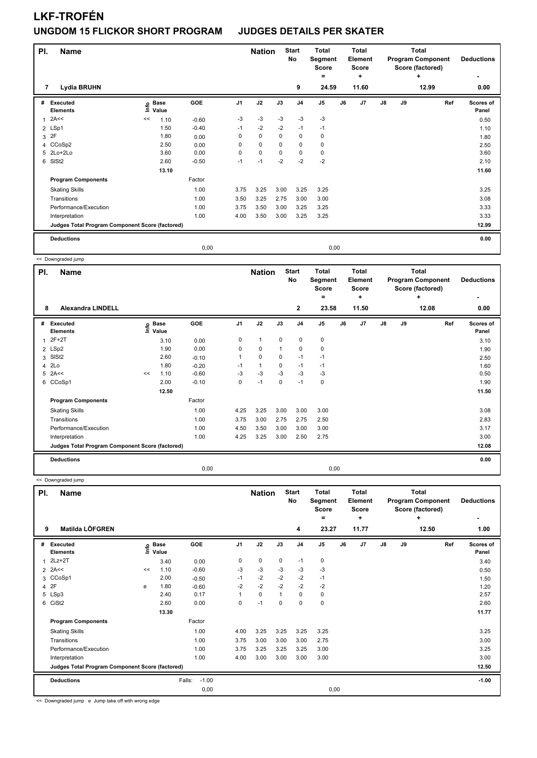## **LKF-TROFÉN UNGDOM 15 FLICKOR SHORT PROGRAM JUDGES DETAILS PER SKATER**

| PI. | <b>Name</b>                                     |    |                      |         |                | <b>Nation</b> |          | <b>Start</b><br><b>No</b> | <b>Total</b><br>Segment<br><b>Score</b><br>= |      | <b>Total</b><br>Element<br><b>Score</b><br>٠ |               |    | <b>Total</b><br><b>Program Component</b><br>Score (factored)<br>٠ | <b>Deductions</b>  |
|-----|-------------------------------------------------|----|----------------------|---------|----------------|---------------|----------|---------------------------|----------------------------------------------|------|----------------------------------------------|---------------|----|-------------------------------------------------------------------|--------------------|
| 7   | <b>Lydia BRUHN</b>                              |    |                      |         |                |               |          | 9                         | 24.59                                        |      | 11.60                                        |               |    | 12.99                                                             | 0.00               |
| #   | Executed<br><b>Elements</b>                     | ١m | <b>Base</b><br>Value | GOE     | J <sub>1</sub> | J2            | J3       | J <sub>4</sub>            | J <sub>5</sub>                               | J6   | J <sub>7</sub>                               | $\mathsf{J}8$ | J9 | Ref                                                               | Scores of<br>Panel |
| 1   | 2A<<                                            | << | 1.10                 | $-0.60$ | $-3$           | $-3$          | $-3$     | $-3$                      | $-3$                                         |      |                                              |               |    |                                                                   | 0.50               |
|     | 2 LSp1                                          |    | 1.50                 | $-0.40$ | $-1$           | $-2$          | $-2$     | $-1$                      | $-1$                                         |      |                                              |               |    |                                                                   | 1.10               |
| 3   | 2F                                              |    | 1.80                 | 0.00    | 0              | $\mathbf 0$   | 0        | 0                         | 0                                            |      |                                              |               |    |                                                                   | 1.80               |
|     | 4 CCoSp2                                        |    | 2.50                 | 0.00    | 0              | $\mathbf 0$   | $\Omega$ | $\mathbf 0$               | 0                                            |      |                                              |               |    |                                                                   | 2.50               |
|     | 5 2Lo+2Lo                                       |    | 3.60                 | 0.00    | 0              | $\mathbf 0$   | 0        | 0                         | 0                                            |      |                                              |               |    |                                                                   | 3.60               |
| 6   | SISt <sub>2</sub>                               |    | 2.60                 | $-0.50$ | $-1$           | $-1$          | $-2$     | $-2$                      | $-2$                                         |      |                                              |               |    |                                                                   | 2.10               |
|     |                                                 |    | 13.10                |         |                |               |          |                           |                                              |      |                                              |               |    |                                                                   | 11.60              |
|     | <b>Program Components</b>                       |    |                      | Factor  |                |               |          |                           |                                              |      |                                              |               |    |                                                                   |                    |
|     | <b>Skating Skills</b>                           |    |                      | 1.00    | 3.75           | 3.25          | 3.00     | 3.25                      | 3.25                                         |      |                                              |               |    |                                                                   | 3.25               |
|     | Transitions                                     |    |                      | 1.00    | 3.50           | 3.25          | 2.75     | 3.00                      | 3.00                                         |      |                                              |               |    |                                                                   | 3.08               |
|     | Performance/Execution                           |    |                      | 1.00    | 3.75           | 3.50          | 3.00     | 3.25                      | 3.25                                         |      |                                              |               |    |                                                                   | 3.33               |
|     | Interpretation                                  |    |                      | 1.00    | 4.00           | 3.50          | 3.00     | 3.25                      | 3.25                                         |      |                                              |               |    |                                                                   | 3.33               |
|     | Judges Total Program Component Score (factored) |    |                      |         |                |               |          |                           |                                              |      |                                              |               |    |                                                                   | 12.99              |
|     | <b>Deductions</b>                               |    |                      |         |                |               |          |                           |                                              |      |                                              |               |    |                                                                   | 0.00               |
|     |                                                 |    |                      | 0,00    |                |               |          |                           |                                              | 0,00 |                                              |               |    |                                                                   |                    |

<< Downgraded jump

| PI. | <b>Name</b>                                     |    |                            |            |                | <b>Nation</b>  |              | <b>Start</b><br>No | <b>Total</b><br>Segment<br><b>Score</b><br>$=$ |      | <b>Total</b><br>Element<br>Score<br>÷ |               |    | Total<br><b>Program Component</b><br>Score (factored)<br>÷ | <b>Deductions</b>  |
|-----|-------------------------------------------------|----|----------------------------|------------|----------------|----------------|--------------|--------------------|------------------------------------------------|------|---------------------------------------|---------------|----|------------------------------------------------------------|--------------------|
| 8   | <b>Alexandra LINDELL</b>                        |    |                            |            |                |                |              | $\mathbf{2}$       | 23.58                                          |      | 11.50                                 |               |    | 12.08                                                      | 0.00               |
| #   | <b>Executed</b><br><b>Elements</b>              |    | e Base<br>E Value<br>Value | <b>GOE</b> | J <sub>1</sub> | J2             | J3           | J <sub>4</sub>     | J <sub>5</sub>                                 | J6   | J7                                    | $\mathsf{J}8$ | J9 | Ref                                                        | Scores of<br>Panel |
| 1   | $2F+2T$                                         |    | 3.10                       | 0.00       | 0              | $\overline{1}$ | 0            | $\pmb{0}$          | $\pmb{0}$                                      |      |                                       |               |    |                                                            | 3.10               |
|     | 2 LSp2                                          |    | 1.90                       | 0.00       | 0              | $\mathbf 0$    | $\mathbf{1}$ | $\mathbf 0$        | $\mathbf 0$                                    |      |                                       |               |    |                                                            | 1.90               |
| 3   | SISt <sub>2</sub>                               |    | 2.60                       | $-0.10$    | 1              | $\mathbf 0$    | 0            | $-1$               | $-1$                                           |      |                                       |               |    |                                                            | 2.50               |
| 4   | 2Lo                                             |    | 1.80                       | $-0.20$    | -1             | $\mathbf{1}$   | 0            | $-1$               | $-1$                                           |      |                                       |               |    |                                                            | 1.60               |
| 5   | 2A<<                                            | << | 1.10                       | $-0.60$    | $-3$           | $-3$           | $-3$         | $-3$               | $-3$                                           |      |                                       |               |    |                                                            | 0.50               |
| 6   | CCoSp1                                          |    | 2.00                       | $-0.10$    | 0              | $-1$           | $\mathbf 0$  | $-1$               | $\pmb{0}$                                      |      |                                       |               |    |                                                            | 1.90               |
|     |                                                 |    | 12.50                      |            |                |                |              |                    |                                                |      |                                       |               |    |                                                            | 11.50              |
|     | <b>Program Components</b>                       |    |                            | Factor     |                |                |              |                    |                                                |      |                                       |               |    |                                                            |                    |
|     | <b>Skating Skills</b>                           |    |                            | 1.00       | 4.25           | 3.25           | 3.00         | 3.00               | 3.00                                           |      |                                       |               |    |                                                            | 3.08               |
|     | Transitions                                     |    |                            | 1.00       | 3.75           | 3.00           | 2.75         | 2.75               | 2.50                                           |      |                                       |               |    |                                                            | 2.83               |
|     | Performance/Execution                           |    |                            | 1.00       | 4.50           | 3.50           | 3.00         | 3.00               | 3.00                                           |      |                                       |               |    |                                                            | 3.17               |
|     | Interpretation                                  |    |                            | 1.00       | 4.25           | 3.25           | 3.00         | 2.50               | 2.75                                           |      |                                       |               |    |                                                            | 3.00               |
|     | Judges Total Program Component Score (factored) |    |                            |            |                |                |              |                    |                                                |      |                                       |               |    |                                                            | 12.08              |
|     | <b>Deductions</b>                               |    |                            |            |                |                |              |                    |                                                |      |                                       |               |    |                                                            | 0.00               |
|     |                                                 |    |                            | 0.00       |                |                |              |                    |                                                | 0,00 |                                       |               |    |                                                            |                    |

<< Downgraded jump

| PI.<br>9 | <b>Name</b><br>Matilda LÖFGREN                  |    |                                  |                   |                | <b>Nation</b> |      | <b>Start</b><br>No<br>4 | <b>Total</b><br>Segment<br><b>Score</b><br>۰<br>23.27 |    | <b>Total</b><br>Element<br><b>Score</b><br>÷<br>11.77 |    |    | <b>Total</b><br><b>Program Component</b><br>Score (factored)<br>÷<br>12.50 | <b>Deductions</b><br>1.00 |
|----------|-------------------------------------------------|----|----------------------------------|-------------------|----------------|---------------|------|-------------------------|-------------------------------------------------------|----|-------------------------------------------------------|----|----|----------------------------------------------------------------------------|---------------------------|
| #        | Executed<br><b>Elements</b>                     |    | <b>Base</b><br>e Base<br>⊆ Value | GOE               | J <sub>1</sub> | J2            | J3   | J <sub>4</sub>          | J <sub>5</sub>                                        | J6 | J7                                                    | J8 | J9 | Ref                                                                        | Scores of<br>Panel        |
|          | $2Lz+2T$                                        |    | 3.40                             | 0.00              | 0              | 0             | 0    | $-1$                    | 0                                                     |    |                                                       |    |    |                                                                            | 3.40                      |
|          | $2$ 2A<<                                        | << | 1.10                             | $-0.60$           | $-3$           | $-3$          | $-3$ | $-3$                    | $-3$                                                  |    |                                                       |    |    |                                                                            | 0.50                      |
|          | 3 CCoSp1                                        |    | 2.00                             | $-0.50$           | $-1$           | $-2$          | $-2$ | $-2$                    | $-1$                                                  |    |                                                       |    |    |                                                                            | 1.50                      |
|          | 4 2F                                            | e  | 1.80                             | $-0.60$           | $-2$           | $-2$          | $-2$ | $-2$                    | $-2$                                                  |    |                                                       |    |    |                                                                            | 1.20                      |
|          | 5 LSp3                                          |    | 2.40                             | 0.17              | 1              | $\mathbf 0$   | 1    | 0                       | 0                                                     |    |                                                       |    |    |                                                                            | 2.57                      |
|          | 6 CiSt2                                         |    | 2.60                             | 0.00              | 0              | $-1$          | 0    | 0                       | $\pmb{0}$                                             |    |                                                       |    |    |                                                                            | 2.60                      |
|          |                                                 |    | 13.30                            |                   |                |               |      |                         |                                                       |    |                                                       |    |    |                                                                            | 11.77                     |
|          | <b>Program Components</b>                       |    |                                  | Factor            |                |               |      |                         |                                                       |    |                                                       |    |    |                                                                            |                           |
|          | <b>Skating Skills</b>                           |    |                                  | 1.00              | 4.00           | 3.25          | 3.25 | 3.25                    | 3.25                                                  |    |                                                       |    |    |                                                                            | 3.25                      |
|          | Transitions                                     |    |                                  | 1.00              | 3.75           | 3.00          | 3.00 | 3.00                    | 2.75                                                  |    |                                                       |    |    |                                                                            | 3.00                      |
|          | Performance/Execution                           |    |                                  | 1.00              | 3.75           | 3.25          | 3.25 | 3.25                    | 3.00                                                  |    |                                                       |    |    |                                                                            | 3.25                      |
|          | Interpretation                                  |    |                                  | 1.00              | 4.00           | 3.00          | 3.00 | 3.00                    | 3.00                                                  |    |                                                       |    |    |                                                                            | 3.00                      |
|          | Judges Total Program Component Score (factored) |    |                                  |                   |                |               |      |                         |                                                       |    |                                                       |    |    |                                                                            | 12.50                     |
|          | <b>Deductions</b>                               |    |                                  | $-1.00$<br>Falls: |                |               |      |                         |                                                       |    |                                                       |    |    |                                                                            | $-1.00$                   |
|          |                                                 |    |                                  | 0,00              |                |               |      |                         | 0,00                                                  |    |                                                       |    |    |                                                                            |                           |

<< Downgraded jump e Jump take off with wrong edge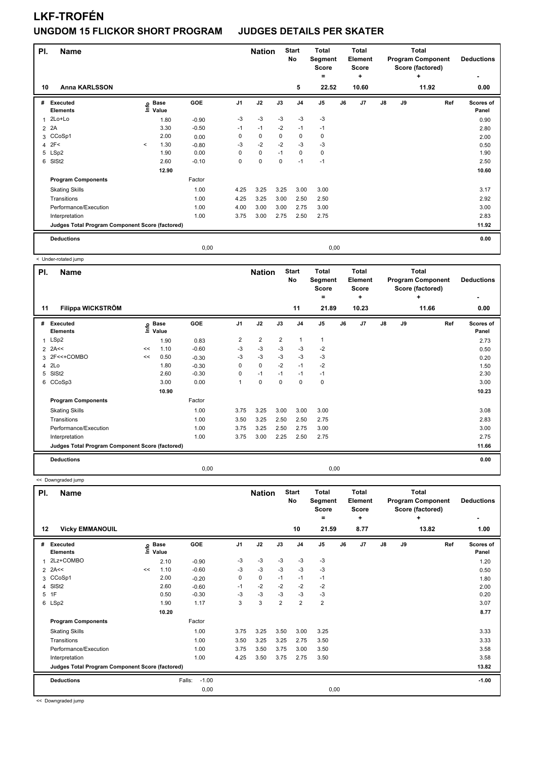### **UNGDOM 15 FLICKOR SHORT PROGRAM JUDGES DETAILS PER SKATER**

| PI.            | <b>Name</b>                                     |         |                            |         |                | <b>Nation</b> |             | <b>Start</b><br>No | <b>Total</b><br>Segment<br><b>Score</b><br>٠ |      | <b>Total</b><br>Element<br><b>Score</b><br>÷ |               |    | <b>Total</b><br><b>Program Component</b><br>Score (factored)<br>٠ | <b>Deductions</b><br>۰ |
|----------------|-------------------------------------------------|---------|----------------------------|---------|----------------|---------------|-------------|--------------------|----------------------------------------------|------|----------------------------------------------|---------------|----|-------------------------------------------------------------------|------------------------|
| 10             | <b>Anna KARLSSON</b>                            |         |                            |         |                |               |             | 5                  | 22.52                                        |      | 10.60                                        |               |    | 11.92                                                             | 0.00                   |
| #              | Executed<br><b>Elements</b>                     |         | e Base<br>E Value<br>Value | GOE     | J <sub>1</sub> | J2            | J3          | J <sub>4</sub>     | J <sub>5</sub>                               | J6   | J7                                           | $\mathsf{J}8$ | J9 | Ref                                                               | Scores of<br>Panel     |
| 1              | 2Lo+Lo                                          |         | 1.80                       | $-0.90$ | $-3$           | $-3$          | $-3$        | $-3$               | $-3$                                         |      |                                              |               |    |                                                                   | 0.90                   |
| $\overline{2}$ | 2A                                              |         | 3.30                       | $-0.50$ | $-1$           | $-1$          | $-2$        | $-1$               | $-1$                                         |      |                                              |               |    |                                                                   | 2.80                   |
|                | 3 CCoSp1                                        |         | 2.00                       | 0.00    | 0              | 0             | 0           | 0                  | 0                                            |      |                                              |               |    |                                                                   | 2.00                   |
| 4              | 2F<                                             | $\prec$ | 1.30                       | $-0.80$ | $-3$           | $-2$          | $-2$        | $-3$               | $-3$                                         |      |                                              |               |    |                                                                   | 0.50                   |
|                | 5 LSp2                                          |         | 1.90                       | 0.00    | 0              | $\mathbf 0$   | $-1$        | $\mathbf 0$        | 0                                            |      |                                              |               |    |                                                                   | 1.90                   |
| 6              | SISt <sub>2</sub>                               |         | 2.60                       | $-0.10$ | 0              | $\mathbf 0$   | $\mathbf 0$ | $-1$               | $-1$                                         |      |                                              |               |    |                                                                   | 2.50                   |
|                |                                                 |         | 12.90                      |         |                |               |             |                    |                                              |      |                                              |               |    |                                                                   | 10.60                  |
|                | <b>Program Components</b>                       |         |                            | Factor  |                |               |             |                    |                                              |      |                                              |               |    |                                                                   |                        |
|                | <b>Skating Skills</b>                           |         |                            | 1.00    | 4.25           | 3.25          | 3.25        | 3.00               | 3.00                                         |      |                                              |               |    |                                                                   | 3.17                   |
|                | Transitions                                     |         |                            | 1.00    | 4.25           | 3.25          | 3.00        | 2.50               | 2.50                                         |      |                                              |               |    |                                                                   | 2.92                   |
|                | Performance/Execution                           |         |                            | 1.00    | 4.00           | 3.00          | 3.00        | 2.75               | 3.00                                         |      |                                              |               |    |                                                                   | 3.00                   |
|                | Interpretation                                  |         |                            | 1.00    | 3.75           | 3.00          | 2.75        | 2.50               | 2.75                                         |      |                                              |               |    |                                                                   | 2.83                   |
|                | Judges Total Program Component Score (factored) |         |                            |         |                |               |             |                    |                                              |      |                                              |               |    |                                                                   | 11.92                  |
|                | <b>Deductions</b>                               |         |                            |         |                |               |             |                    |                                              |      |                                              |               |    |                                                                   | 0.00                   |
|                |                                                 |         |                            | 0,00    |                |               |             |                    |                                              | 0,00 |                                              |               |    |                                                                   |                        |

< Under-rotated jump

| PI. | <b>Name</b>                                     |    |                            |         |                | <b>Nation</b>  |                | <b>Start</b><br><b>No</b> | Total<br>Segment<br><b>Score</b><br>$=$ |      | Total<br>Element<br><b>Score</b><br>÷ |    |    | <b>Total</b><br><b>Program Component</b><br>Score (factored)<br>٠ | <b>Deductions</b>  |
|-----|-------------------------------------------------|----|----------------------------|---------|----------------|----------------|----------------|---------------------------|-----------------------------------------|------|---------------------------------------|----|----|-------------------------------------------------------------------|--------------------|
| 11  | Filippa WICKSTRÖM                               |    |                            |         |                |                |                | 11                        | 21.89                                   |      | 10.23                                 |    |    | 11.66                                                             | 0.00               |
| #   | Executed<br><b>Elements</b>                     |    | e Base<br>E Value<br>Value | GOE     | J <sub>1</sub> | J2             | J3             | J <sub>4</sub>            | J5                                      | J6   | J7                                    | J8 | J9 | Ref                                                               | Scores of<br>Panel |
|     | 1 LSp2                                          |    | 1.90                       | 0.83    | $\overline{2}$ | $\overline{2}$ | $\overline{2}$ | 1                         | 1                                       |      |                                       |    |    |                                                                   | 2.73               |
|     | $2$ 2A<<                                        | << | 1.10                       | $-0.60$ | -3             | $-3$           | $-3$           | -3                        | $-2$                                    |      |                                       |    |    |                                                                   | 0.50               |
|     | 3 2F<<+COMBO                                    | << | 0.50                       | $-0.30$ | -3             | $-3$           | $-3$           | $-3$                      | $-3$                                    |      |                                       |    |    |                                                                   | 0.20               |
|     | 4 2Lo                                           |    | 1.80                       | $-0.30$ | $\Omega$       | $\mathbf 0$    | $-2$           | $-1$                      | $-2$                                    |      |                                       |    |    |                                                                   | 1.50               |
|     | 5 SISt2                                         |    | 2.60                       | $-0.30$ | $\Omega$       | $-1$           | $-1$           | $-1$                      | $-1$                                    |      |                                       |    |    |                                                                   | 2.30               |
|     | 6 CCoSp3                                        |    | 3.00                       | 0.00    | 1              | $\mathbf 0$    | $\Omega$       | $\mathbf 0$               | 0                                       |      |                                       |    |    |                                                                   | 3.00               |
|     |                                                 |    | 10.90                      |         |                |                |                |                           |                                         |      |                                       |    |    |                                                                   | 10.23              |
|     | <b>Program Components</b>                       |    |                            | Factor  |                |                |                |                           |                                         |      |                                       |    |    |                                                                   |                    |
|     | <b>Skating Skills</b>                           |    |                            | 1.00    | 3.75           | 3.25           | 3.00           | 3.00                      | 3.00                                    |      |                                       |    |    |                                                                   | 3.08               |
|     | Transitions                                     |    |                            | 1.00    | 3.50           | 3.25           | 2.50           | 2.50                      | 2.75                                    |      |                                       |    |    |                                                                   | 2.83               |
|     | Performance/Execution                           |    |                            | 1.00    | 3.75           | 3.25           | 2.50           | 2.75                      | 3.00                                    |      |                                       |    |    |                                                                   | 3.00               |
|     | Interpretation                                  |    |                            | 1.00    | 3.75           | 3.00           | 2.25           | 2.50                      | 2.75                                    |      |                                       |    |    |                                                                   | 2.75               |
|     | Judges Total Program Component Score (factored) |    |                            |         |                |                |                |                           |                                         |      |                                       |    |    |                                                                   | 11.66              |
|     | <b>Deductions</b>                               |    |                            |         |                |                |                |                           |                                         |      |                                       |    |    |                                                                   | 0.00               |
|     |                                                 |    |                            | 0,00    |                |                |                |                           |                                         | 0,00 |                                       |    |    |                                                                   |                    |

<< Downgraded jump

| PI. | <b>Name</b>                                     |      |                      |                   |                | <b>Nation</b> |                | <b>Start</b><br><b>No</b> | <b>Total</b><br>Segment<br><b>Score</b><br>٠ |    | <b>Total</b><br>Element<br>Score<br>÷ |    |    | <b>Total</b><br><b>Program Component</b><br>Score (factored)<br>٠ | <b>Deductions</b>  |
|-----|-------------------------------------------------|------|----------------------|-------------------|----------------|---------------|----------------|---------------------------|----------------------------------------------|----|---------------------------------------|----|----|-------------------------------------------------------------------|--------------------|
| 12  | <b>Vicky EMMANOUIL</b>                          |      |                      |                   |                |               |                | 10                        | 21.59                                        |    | 8.77                                  |    |    | 13.82                                                             | 1.00               |
| #   | Executed<br><b>Elements</b>                     | ١nfo | <b>Base</b><br>Value | GOE               | J <sub>1</sub> | J2            | J3             | J <sub>4</sub>            | J <sub>5</sub>                               | J6 | J7                                    | J8 | J9 | Ref                                                               | Scores of<br>Panel |
| 1   | 2Lz+COMBO                                       |      | 2.10                 | $-0.90$           | -3             | $-3$          | $-3$           | -3                        | $-3$                                         |    |                                       |    |    |                                                                   | 1.20               |
|     | $2$ 2A<<                                        | <<   | 1.10                 | $-0.60$           | -3             | $-3$          | $-3$           | $-3$                      | $-3$                                         |    |                                       |    |    |                                                                   | 0.50               |
|     | 3 CCoSp1                                        |      | 2.00                 | $-0.20$           | 0              | $\mathbf 0$   | $-1$           | $-1$                      | $-1$                                         |    |                                       |    |    |                                                                   | 1.80               |
| 4   | SISt <sub>2</sub>                               |      | 2.60                 | $-0.60$           | $-1$           | $-2$          | $-2$           | $-2$                      | $-2$                                         |    |                                       |    |    |                                                                   | 2.00               |
| 5   | 1F                                              |      | 0.50                 | $-0.30$           | -3             | $-3$          | -3             | -3                        | $-3$                                         |    |                                       |    |    |                                                                   | 0.20               |
|     | 6 LSp2                                          |      | 1.90                 | 1.17              | 3              | 3             | $\overline{2}$ | $\overline{2}$            | 2                                            |    |                                       |    |    |                                                                   | 3.07               |
|     |                                                 |      | 10.20                |                   |                |               |                |                           |                                              |    |                                       |    |    |                                                                   | 8.77               |
|     | <b>Program Components</b>                       |      |                      | Factor            |                |               |                |                           |                                              |    |                                       |    |    |                                                                   |                    |
|     | <b>Skating Skills</b>                           |      |                      | 1.00              | 3.75           | 3.25          | 3.50           | 3.00                      | 3.25                                         |    |                                       |    |    |                                                                   | 3.33               |
|     | Transitions                                     |      |                      | 1.00              | 3.50           | 3.25          | 3.25           | 2.75                      | 3.50                                         |    |                                       |    |    |                                                                   | 3.33               |
|     | Performance/Execution                           |      |                      | 1.00              | 3.75           | 3.50          | 3.75           | 3.00                      | 3.50                                         |    |                                       |    |    |                                                                   | 3.58               |
|     | Interpretation                                  |      |                      | 1.00              | 4.25           | 3.50          | 3.75           | 2.75                      | 3.50                                         |    |                                       |    |    |                                                                   | 3.58               |
|     | Judges Total Program Component Score (factored) |      |                      |                   |                |               |                |                           |                                              |    |                                       |    |    |                                                                   | 13.82              |
|     | <b>Deductions</b>                               |      |                      | $-1.00$<br>Falls: |                |               |                |                           |                                              |    |                                       |    |    |                                                                   | $-1.00$            |
|     |                                                 |      |                      | 0,00              |                |               |                |                           | 0,00                                         |    |                                       |    |    |                                                                   |                    |

<< Downgraded jump